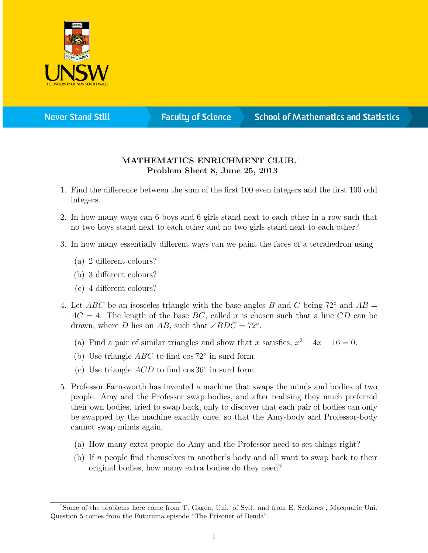

**Never Stand Still** 

**Faculty of Science** 

## **School of Mathematics and Statistics**

## MATHEMATICS ENRICHMENT CLUB.<sup>1</sup> Problem Sheet 8, June 25, 2013

- 1. Find the difference between the sum of the first 100 even integers and the first 100 odd integers.
- 2. In how many ways can 6 boys and 6 girls stand next to each other in a row such that no two boys stand next to each other and no two girls stand next to each other?
- 3. In how many essentially different ways can we paint the faces of a tetrahedron using
	- (a) 2 different colours?
	- (b) 3 different colours?
	- (c) 4 different colours?
- 4. Let ABC be an isosceles triangle with the base angles B and C being  $72^{\circ}$  and  $AB =$  $AC = 4$ . The length of the base BC, called x is chosen such that a line CD can be drawn, where D lies on AB, such that  $\angle BDC = 72^\circ$ .
	- (a) Find a pair of similar triangles and show that x satisfies,  $x^2 + 4x 16 = 0$ .
	- (b) Use triangle  $ABC$  to find cos  $72^{\circ}$  in surd form.
	- (c) Use triangle  $ACD$  to find cos 36 $\circ$  in surd form.
- 5. Professor Farnsworth has invented a machine that swaps the minds and bodies of two people. Amy and the Professor swap bodies, and after realising they much preferred their own bodies, tried to swap back, only to discover that each pair of bodies can only be swapped by the machine exactly once, so that the Amy-body and Professor-body cannot swap minds again.
	- (a) How many extra people do Amy and the Professor need to set things right?
	- (b) If n people find themselves in another's body and all want to swap back to their original bodies, how many extra bodies do they need?

<sup>1</sup>Some of the problems here come from T. Gagen, Uni. of Syd. and from E. Szekeres , Macquarie Uni. Question 5 comes from the Futurama episode "The Prisoner of Benda".